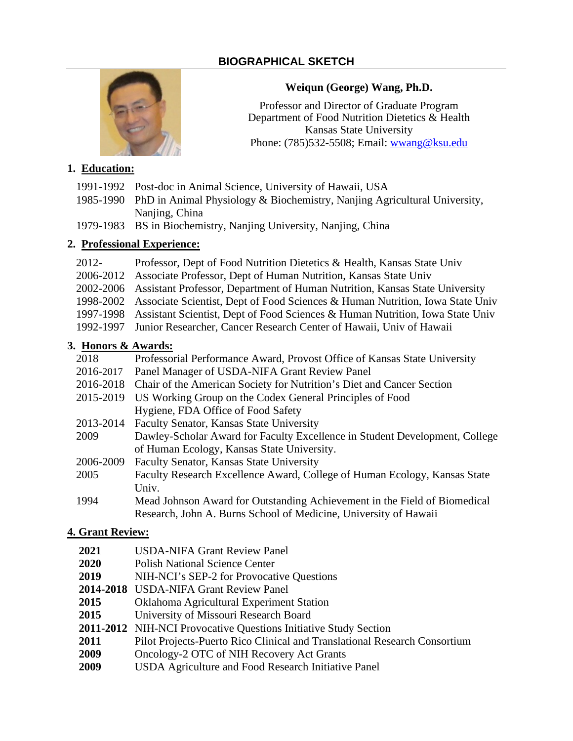# **BIOGRAPHICAL SKETCH**



## **Weiqun (George) Wang, Ph.D.**

Professor and Director of Graduate Program Department of Food Nutrition Dietetics & Health Kansas State University Phone: (785)532-5508; Email: [wwang@ksu.edu](mailto:wwang@ksu.edu)

### **1. Education:**

- 1991-1992 Post-doc in Animal Science, University of Hawaii, USA
- 1985-1990 PhD in Animal Physiology & Biochemistry, Nanjing Agricultural University, Naniing, China
- 1979-1983 BS in Biochemistry, Nanjing University, Nanjing, China

# **2. Professional Experience:**

- 2012- Professor, Dept of Food Nutrition Dietetics & Health, Kansas State Univ
- 2006-2012 Associate Professor, Dept of Human Nutrition, Kansas State Univ
- 2002-2006 Assistant Professor, Department of Human Nutrition, Kansas State University
- 1998-2002 Associate Scientist, Dept of Food Sciences & Human Nutrition, Iowa State Univ
- 1997-1998 Assistant Scientist, Dept of Food Sciences & Human Nutrition, Iowa State Univ
- 1992-1997 Junior Researcher, Cancer Research Center of Hawaii, Univ of Hawaii

## **3. Honors & Awards:**

| 2018      | Professorial Performance Award, Provost Office of Kansas State University   |  |
|-----------|-----------------------------------------------------------------------------|--|
| 2016-2017 | Panel Manager of USDA-NIFA Grant Review Panel                               |  |
| 2016-2018 | Chair of the American Society for Nutrition's Diet and Cancer Section       |  |
| 2015-2019 | US Working Group on the Codex General Principles of Food                    |  |
|           | Hygiene, FDA Office of Food Safety                                          |  |
| 2013-2014 | Faculty Senator, Kansas State University                                    |  |
| 2009      | Dawley-Scholar Award for Faculty Excellence in Student Development, College |  |
|           | of Human Ecology, Kansas State University.                                  |  |
| 2006-2009 | Faculty Senator, Kansas State University                                    |  |
| 2005      | Faculty Research Excellence Award, College of Human Ecology, Kansas State   |  |
|           | Univ.                                                                       |  |
|           |                                                                             |  |

1994 Mead Johnson Award for Outstanding Achievement in the Field of Biomedical Research, John A. Burns School of Medicine, University of Hawaii

## **4. Grant Review:**

- **2021** USDA-NIFA Grant Review Panel
- **2020** Polish National Science Center
- **2019** NIH-NCI's SEP-2 for Provocative Questions
- **2014-2018** USDA-NIFA Grant Review Panel
- **2015** Oklahoma Agricultural Experiment Station
- **2015** University of Missouri Research Board
- **2011-2012** NIH-NCI Provocative Questions Initiative Study Section
- **2011** Pilot Projects-Puerto Rico Clinical and Translational Research Consortium
- **2009** Oncology-2 OTC of NIH Recovery Act Grants
- **2009** USDA Agriculture and Food Research Initiative Panel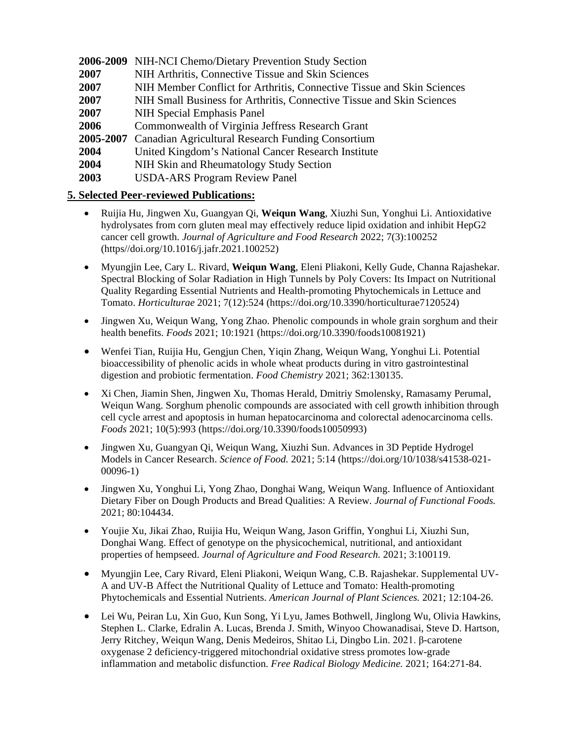**2006-2009** NIH-NCI Chemo/Dietary Prevention Study Section

- **2007** NIH Arthritis, Connective Tissue and Skin Sciences
- **2007** NIH Member Conflict for Arthritis, Connective Tissue and Skin Sciences
- **2007** NIH Small Business for Arthritis, Connective Tissue and Skin Sciences
- **2007** NIH Special Emphasis Panel
- **2006** Commonwealth of Virginia Jeffress Research Grant
- **2005-2007** Canadian Agricultural Research Funding Consortium
- **2004** United Kingdom's National Cancer Research Institute
- **2004** NIH Skin and Rheumatology Study Section
- **2003** USDA-ARS Program Review Panel

## **5. Selected Peer-reviewed Publications:**

- Ruijia Hu, Jingwen Xu, Guangyan Qi, **Weiqun Wang**, Xiuzhi Sun, Yonghui Li. Antioxidative hydrolysates from corn gluten meal may effectively reduce lipid oxidation and inhibit HepG2 cancer cell growth. *Journal of Agriculture and Food Research* 2022; 7(3):100252 (https//doi.org/10.1016/j.jafr.2021.100252)
- Myungjin Lee, Cary L. Rivard, **Weiqun Wang**, Eleni Pliakoni, Kelly Gude, Channa Rajashekar. Spectral Blocking of Solar Radiation in High Tunnels by Poly Covers: Its Impact on Nutritional Quality Regarding Essential Nutrients and Health-promoting Phytochemicals in Lettuce and Tomato. *Horticulturae* 2021; 7(12):524 [\(https://doi.org/10.3390/horticulturae7120524\)](https://doi.org/10.3390/horticulturae7120524)
- Jingwen Xu, Weiqun Wang, Yong Zhao. Phenolic compounds in whole grain sorghum and their health benefits. *Foods* 2021; 10:1921 [\(https://doi.org/10.3390/foods10081921\)](https://doi.org/10.3390/foods10081921)
- Wenfei Tian, Ruijia Hu, Gengjun Chen, Yiqin Zhang, Weiqun Wang, Yonghui Li. Potential bioaccessibility of phenolic acids in whole wheat products during in vitro gastrointestinal digestion and probiotic fermentation. *Food Chemistry* 2021; 362:130135.
- Xi Chen, Jiamin Shen, Jingwen Xu, Thomas Herald, Dmitriy Smolensky, Ramasamy Perumal, Weiqun Wang. Sorghum phenolic compounds are associated with cell growth inhibition through cell cycle arrest and apoptosis in human hepatocarcinoma and colorectal adenocarcinoma cells. *Foods* 2021; 10(5):993 [\(https://doi.org/10.3390/foods10050993\)](https://doi.org/10.3390/foods10050993)
- Jingwen Xu, Guangyan Qi, Weiqun Wang, Xiuzhi Sun. Advances in 3D Peptide Hydrogel Models in Cancer Research. *Science of Food.* 2021; 5:14 [\(https://doi.org/10/1038/s41538-021-](https://doi.org/10/1038/s41538-021-00096-1) [00096-1\)](https://doi.org/10/1038/s41538-021-00096-1)
- Jingwen Xu, Yonghui Li, Yong Zhao, Donghai Wang, Weiqun Wang. Influence of Antioxidant Dietary Fiber on Dough Products and Bread Qualities: A Review. *Journal of Functional Foods.* 2021; 80:104434.
- Youjie Xu, Jikai Zhao, Ruijia Hu, Weiqun Wang, Jason Griffin, Yonghui Li, Xiuzhi Sun, Donghai Wang. Effect of genotype on the physicochemical, nutritional, and antioxidant properties of hempseed. *Journal of Agriculture and Food Research.* 2021; 3:100119.
- Myungjin Lee, Cary Rivard, Eleni Pliakoni, Weiqun Wang, C.B. Rajashekar. Supplemental UV-A and UV-B Affect the Nutritional Quality of Lettuce and Tomato: Health-promoting Phytochemicals and Essential Nutrients. *American Journal of Plant Sciences.* 2021; 12:104-26.
- Lei Wu, Peiran Lu, Xin Guo, Kun Song, Yi Lyu, James Bothwell, Jinglong Wu, Olivia Hawkins, Stephen L. Clarke, Edralin A. Lucas, Brenda J. Smith, Winyoo Chowanadisai, Steve D. Hartson, Jerry Ritchey, Weiqun Wang, Denis Medeiros, Shitao Li, Dingbo Lin. 2021. β-carotene oxygenase 2 deficiency-triggered mitochondrial oxidative stress promotes low-grade inflammation and metabolic disfunction. *Free Radical Biology Medicine.* 2021; 164:271-84.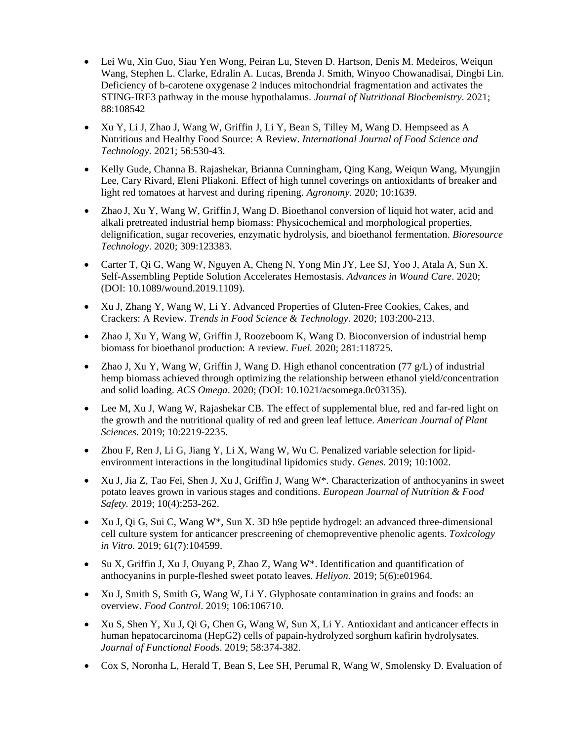- Lei Wu, Xin Guo, Siau Yen Wong, Peiran Lu, Steven D. Hartson, Denis M. Medeiros, Weiqun Wang, Stephen L. Clarke, Edralin A. Lucas, Brenda J. Smith, Winyoo Chowanadisai, Dingbi Lin. Deficiency of b-carotene oxygenase 2 induces mitochondrial fragmentation and activates the STING-IRF3 pathway in the mouse hypothalamus. *Journal of Nutritional Biochemistry*. 2021; 88:108542
- Xu Y, Li J, Zhao J, Wang W, Griffin J, Li Y, Bean S, Tilley M, Wang D. Hempseed as A Nutritious and Healthy Food Source: A Review. *International Journal of Food Science and Technology*. 2021; 56:530-43.
- Kelly Gude, Channa B. Rajashekar, Brianna Cunningham, Qing Kang, Weiqun Wang, Myungjin Lee, Cary Rivard, Eleni Pliakoni. Effect of high tunnel coverings on antioxidants of breaker and light red tomatoes at harvest and during ripening. *Agronomy*. 2020; 10:1639.
- Zhao J, Xu Y, Wang W, Griffin J, Wang D. Bioethanol conversion of liquid hot water, acid and alkali pretreated industrial hemp biomass: Physicochemical and morphological properties, delignification, sugar recoveries, enzymatic hydrolysis, and bioethanol fermentation. *Bioresource Technology*. 2020; 309:123383.
- Carter T, Qi G, Wang W, Nguyen A, Cheng N, Yong Min JY, Lee SJ, Yoo J, Atala A, Sun X. [Self-Assembling Peptide Solution Accelerates Hemostasis.](https://www.liebertpub.com/doi/abs/10.1089/wound.2019.1109) *Advances in Wound Care*. 2020; (DOI: 10.1089/wound.2019.1109).
- Xu J, Zhang Y, Wang W, Li Y. [Advanced Properties of Gluten-Free Cookies, Cakes, and](https://www.sciencedirect.com/science/article/pii/S092422442030546X)  [Crackers: A Review.](https://www.sciencedirect.com/science/article/pii/S092422442030546X) *Trends in Food Science & Technology*. 2020; 103:200-213.
- Zhao J, Xu Y, Wang W, Griffin J, Roozeboom K, Wang D. Bioconversion of industrial hemp biomass for bioethanol production: A review. *Fuel.* 2020; 281:118725.
- Zhao J, Xu Y, Wang W, Griffin J, Wang D. High ethanol concentration (77  $g/L$ ) of industrial hemp biomass achieved through optimizing the relationship between ethanol yield/concentration and solid loading. *ACS Omega*. 2020; (DOI: 10.1021/acsomega.0c03135).
- Lee M, Xu J, Wang W, Rajashekar CB. The effect of supplemental blue, red and far-red light on the growth and the nutritional quality of red and green leaf lettuce. *American Journal of Plant Sciences*. 2019; 10:2219-2235.
- Zhou F, Ren J, Li G, Jiang Y, Li X, Wang W, Wu C. Penalized variable selection for lipidenvironment interactions in the longitudinal lipidomics study. *Genes.* 2019; 10:1002.
- Xu J, Jia Z, Tao Fei, Shen J, Xu J, Griffin J, Wang W\*. Characterization of anthocyanins in sweet potato leaves grown in various stages and conditions. *European Journal of Nutrition & Food Safety.* 2019; 10(4):253-262.
- Xu J, Qi G, Sui C, Wang  $W^*$ , Sun X. 3D h9e peptide hydrogel: an advanced three-dimensional cell culture system for anticancer prescreening of chemopreventive phenolic agents. *Toxicology in Vitro.* 2019; 61(7):104599.
- Su X, Griffin J, Xu J, Ouyang P, Zhao Z, Wang W\*. Identification and quantification of anthocyanins in purple-fleshed sweet potato leaves. *Heliyon.* 2019; 5(6):e01964.
- Xu J, Smith S, Smith G, Wang W, Li Y. Glyphosate contamination in grains and foods: an overview. *Food Control*. 2019; 106:106710.
- Xu S, Shen Y, Xu J, Qi G, Chen G, Wang W, Sun X, Li Y. Antioxidant and anticancer effects in human hepatocarcinoma (HepG2) cells of papain-hydrolyzed sorghum kafirin hydrolysates. *Journal of Functional Foods*. 2019; 58:374-382.
- Cox S, Noronha L, Herald T, Bean S, Lee SH, Perumal R, Wang W, Smolensky D. Evaluation of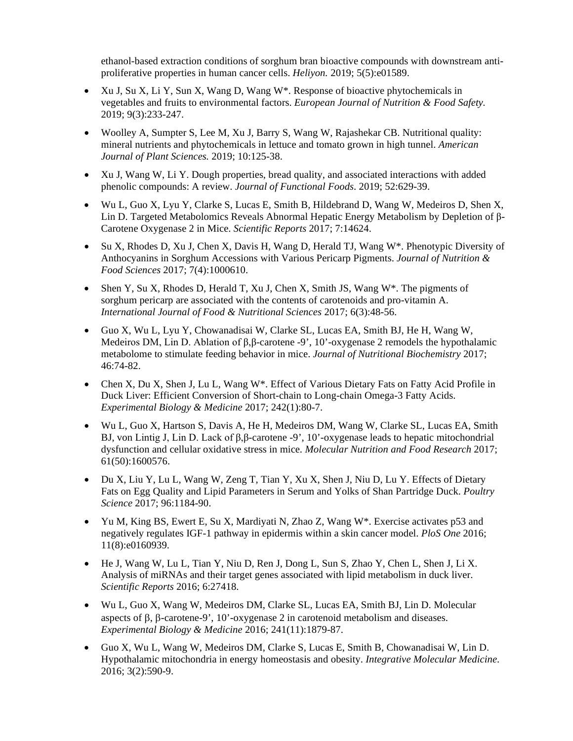ethanol-based extraction conditions of sorghum bran bioactive compounds with downstream antiproliferative properties in human cancer cells. *Heliyon.* 2019; 5(5):e01589.

- Xu J, Su X, Li Y, Sun X, Wang D, Wang W\*. Response of bioactive phytochemicals in vegetables and fruits to environmental factors. *European Journal of Nutrition & Food Safety.* 2019; 9(3):233-247.
- Woolley A, Sumpter S, Lee M, Xu J, Barry S, Wang W, Rajashekar CB. Nutritional quality: mineral nutrients and phytochemicals in lettuce and tomato grown in high tunnel. *American Journal of Plant Sciences.* 2019; 10:125-38.
- Xu J, Wang W, Li Y. Dough properties, bread quality, and associated interactions with added phenolic compounds: A review. *Journal of Functional Foods*. 2019; 52:629-39.
- Wu L, Guo X, Lyu Y, Clarke S, Lucas E, Smith B, Hildebrand D, Wang W, Medeiros D, Shen X, Lin D. Targeted Metabolomics Reveals Abnormal Hepatic Energy Metabolism by Depletion of β-Carotene Oxygenase 2 in Mice. *[Scientific](https://www.ncbi.nlm.nih.gov/pubmed/27272010) Reports* 2017; 7:14624.
- Su X, Rhodes D, Xu J, Chen X, Davis H, Wang D, Herald TJ, Wang W\*. Phenotypic Diversity of Anthocyanins in Sorghum Accessions with Various Pericarp Pigments. *Journal of Nutrition & Food Sciences* 2017; 7(4):1000610.
- Shen Y, Su X, Rhodes D, Herald T, Xu J, Chen X, Smith JS, Wang  $W^*$ . The pigments of sorghum pericarp are associated with the contents of carotenoids and pro-vitamin A. *International Journal of Food & Nutritional Sciences* 2017; 6(3):48-56.
- Guo X, Wu L, Lyu Y, Chowanadisai W, Clarke SL, Lucas EA, Smith BJ, He H, Wang W, Medeiros DM, Lin D. Ablation of β,β-carotene -9', 10'-oxygenase 2 remodels the hypothalamic metabolome to stimulate feeding behavior in mice. *Journal of Nutritional Biochemistry* 2017; 46:74-82.
- Chen X, Du X, Shen J, Lu L, Wang W<sup>\*</sup>. Effect of Various Dietary Fats on Fatty Acid Profile in Duck Liver: Efficient Conversion of Short-chain to Long-chain Omega-3 Fatty Acids. *Experimental Biology & Medicine* 2017; 242(1):80-7.
- Wu L, Guo X, Hartson S, Davis A, He H, Medeiros DM, Wang W, Clarke SL, Lucas EA, Smith BJ, von Lintig J, Lin D. Lack of β,β-carotene -9', 10'-oxygenase leads to hepatic mitochondrial dysfunction and cellular oxidative stress in mice. *Molecular Nutrition and Food Research* 2017; 61(50):1600576.
- Du X, Liu Y, Lu L, Wang W, Zeng T, Tian Y, Xu X, Shen J, Niu D, Lu Y. Effects of Dietary Fats on Egg Quality and Lipid Parameters in Serum and Yolks of Shan Partridge Duck. *Poultry Science* 2017; 96:1184-90.
- Yu M, King BS, Ewert E, Su X, Mardiyati N, Zhao Z, Wang  $W^*$ . Exercise activates p53 and negatively regulates IGF-1 pathway in epidermis within a skin cancer model. *PloS One* 2016; 11(8):e0160939.
- [He J,](https://www.ncbi.nlm.nih.gov/pubmed/?term=He%20J%5BAuthor%5D&cauthor=true&cauthor_uid=27272010) [Wang W,](https://www.ncbi.nlm.nih.gov/pubmed/?term=Wang%20W%5BAuthor%5D&cauthor=true&cauthor_uid=27272010) [Lu L,](https://www.ncbi.nlm.nih.gov/pubmed/?term=Lu%20L%5BAuthor%5D&cauthor=true&cauthor_uid=27272010) [Tian Y,](https://www.ncbi.nlm.nih.gov/pubmed/?term=Tian%20Y%5BAuthor%5D&cauthor=true&cauthor_uid=27272010) [Niu D,](https://www.ncbi.nlm.nih.gov/pubmed/?term=Niu%20D%5BAuthor%5D&cauthor=true&cauthor_uid=27272010) [Ren J,](https://www.ncbi.nlm.nih.gov/pubmed/?term=Ren%20J%5BAuthor%5D&cauthor=true&cauthor_uid=27272010) [Dong L,](https://www.ncbi.nlm.nih.gov/pubmed/?term=Dong%20L%5BAuthor%5D&cauthor=true&cauthor_uid=27272010) [Sun S,](https://www.ncbi.nlm.nih.gov/pubmed/?term=Sun%20S%5BAuthor%5D&cauthor=true&cauthor_uid=27272010) [Zhao Y,](https://www.ncbi.nlm.nih.gov/pubmed/?term=Zhao%20Y%5BAuthor%5D&cauthor=true&cauthor_uid=27272010) [Chen L,](https://www.ncbi.nlm.nih.gov/pubmed/?term=Chen%20L%5BAuthor%5D&cauthor=true&cauthor_uid=27272010) [Shen J,](https://www.ncbi.nlm.nih.gov/pubmed/?term=Shen%20J%5BAuthor%5D&cauthor=true&cauthor_uid=27272010) [Li X.](https://www.ncbi.nlm.nih.gov/pubmed/?term=Li%20X%5BAuthor%5D&cauthor=true&cauthor_uid=27272010) Analysis of miRNAs and their target genes associated with lipid metabolism in duck liver. *[Scientific](https://www.ncbi.nlm.nih.gov/pubmed/27272010) Reports* 2016; 6:27418.
- Wu L, Guo X, Wang W, Medeiros DM, Clarke SL, Lucas EA, Smith BJ, Lin D. Molecular aspects of β, β-carotene-9', 10'-oxygenase 2 in carotenoid metabolism and diseases. *Experimental Biology & Medicine* 2016; 241(11):1879-87.
- Guo X, Wu L, Wang W, Medeiros DM, Clarke S, Lucas E, Smith B, Chowanadisai W, Lin D. Hypothalamic mitochondria in energy homeostasis and obesity. *Integrative Molecular Medicine*. 2016; 3(2):590-9.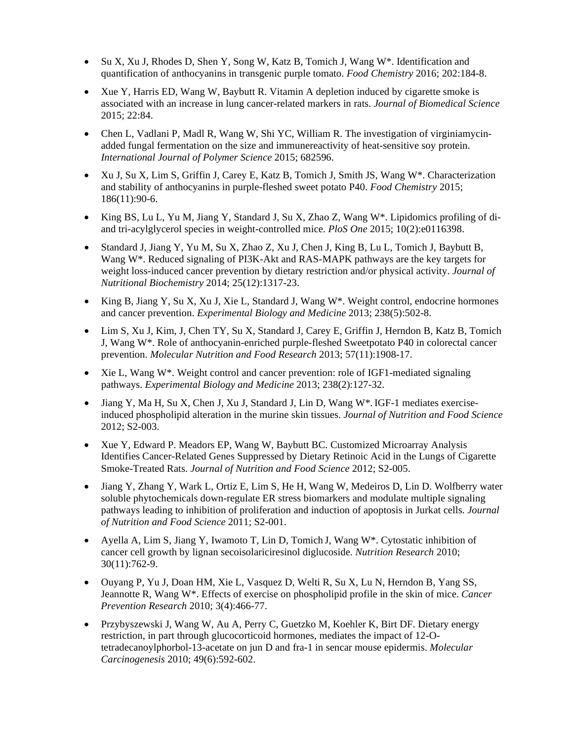- Su X, Xu J, Rhodes D, Shen Y, Song W, Katz B, Tomich J, Wang W\*. Identification and quantification of anthocyanins in transgenic purple tomato. *Food Chemistry* 2016; 202:184-8.
- Xue Y, Harris ED, Wang W, Baybutt R. Vitamin A depletion induced by cigarette smoke is associated with an increase in lung cancer-related markers in rats. *Journal of Biomedical Science* 2015; 22:84.
- Chen L, Vadlani P, Madl R, Wang W, Shi YC, William R. The investigation of virginiamycinadded fungal fermentation on the size and immunereactivity of heat-sensitive soy protein. *International Journal of Polymer Science* 2015; 682596.
- Xu J, Su X, Lim S, Griffin J, Carey E, Katz B, Tomich J, Smith JS, Wang W\*. Characterization and stability of anthocyanins in purple-fleshed sweet potato P40. *Food Chemistry* 2015; 186(11):90-6.
- King BS, Lu L, Yu M, Jiang Y, Standard J, Su X, Zhao Z, Wang W\*. Lipidomics profiling of diand tri-acylglycerol species in weight-controlled mice. *PloS One* 2015; 10(2):e0116398.
- Standard J, Jiang Y, Yu M, Su X, Zhao Z, Xu J, Chen J, King B, Lu L, Tomich J, Baybutt B, Wang W\*. Reduced signaling of PI3K-Akt and RAS-MAPK pathways are the key targets for weight loss-induced cancer prevention by dietary restriction and/or physical activity. *Journal of Nutritional Biochemistry* 2014; 25(12):1317-23.
- King B, Jiang Y, Su X, Xu J, Xie L, Standard J, Wang W\*. Weight control, endocrine hormones and cancer prevention. *Experimental Biology and Medicine* 2013; 238(5):502-8.
- Lim S, Xu J, Kim, J, Chen TY, Su X, Standard J, Carey E, Griffin J, Herndon B, Katz B, Tomich J, Wang W\*. Role of anthocyanin-enriched purple-fleshed Sweetpotato P40 in colorectal cancer prevention. *Molecular Nutrition and Food Research* 2013; 57(11):1908-17.
- Xie L, Wang W<sup>\*</sup>. Weight control and cancer prevention: role of IGF1-mediated signaling pathways. *Experimental Biology and Medicine* 2013; 238(2):127-32.
- Jiang Y, Ma H, Su X, Chen J, Xu J, Standard J, Lin D, Wang W\*.IGF-1 mediates exerciseinduced phospholipid alteration in the murine skin tissues. *Journal of Nutrition and Food Science* 2012; S2-003.
- Xue Y, Edward P. Meadors EP, Wang W, Baybutt BC. Customized Microarray Analysis Identifies Cancer-Related Genes Suppressed by Dietary Retinoic Acid in the Lungs of Cigarette Smoke-Treated Rats. *Journal of Nutrition and Food Science* 2012; S2-005.
- Jiang Y, Zhang Y, Wark L, Ortiz E, Lim S, He H, Wang W, Medeiros D, Lin D. Wolfberry water soluble phytochemicals down-regulate ER stress biomarkers and modulate multiple signaling pathways leading to inhibition of proliferation and induction of apoptosis in Jurkat cells. *Journal of Nutrition and Food Science* 2011; S2-001.
- Ayella A, Lim S, Jiang Y, Iwamoto T, Lin D, Tomich J, Wang  $W^*$ . Cytostatic inhibition of cancer cell growth by lignan secoisolariciresinol diglucoside. *Nutrition Research* 2010; 30(11):762-9.
- Ouyang P, Yu J, Doan HM, Xie L, Vasquez D, Welti R, Su X, Lu N, Herndon B, Yang SS, Jeannotte R, Wang W\*. Effects of exercise on phospholipid profile in the skin of mice. *Cancer Prevention Research* 2010; 3(4):466-77.
- Przybyszewski J, Wang W, Au A, Perry C, Guetzko M, Koehler K, Birt DF. Dietary energy restriction, in part through glucocorticoid hormones, mediates the impact of 12-Otetradecanoylphorbol-13-acetate on jun D and fra-1 in sencar mouse epidermis. *[Molecular](http://www3.interscience.wiley.com/journal/37603/home)  [Carcinogenesis](http://www3.interscience.wiley.com/journal/37603/home)* 2010; 49(6):592-602.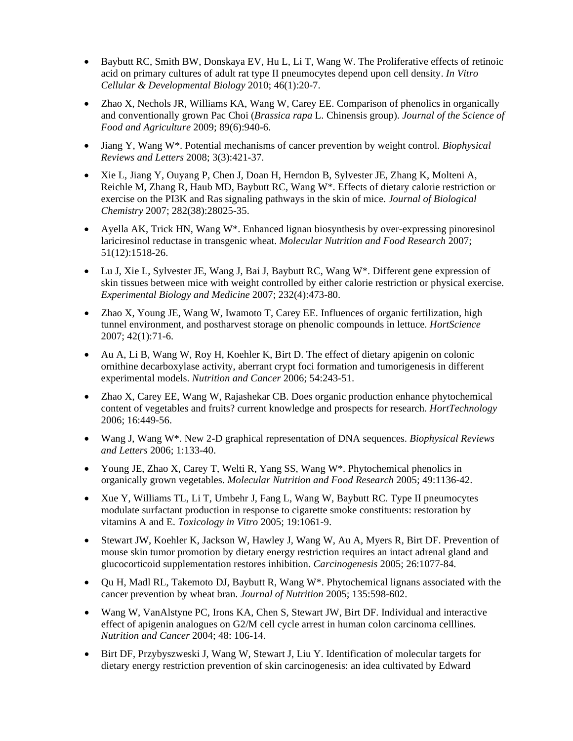- Baybutt RC, Smith BW, Donskaya EV, Hu L, Li T, Wang W. The Proliferative effects of retinoic acid on primary cultures of adult rat type II pneumocytes depend upon cell density. *In Vitro Cellular & Developmental Biology* 2010; 46(1):20-7.
- Zhao X, Nechols JR, Williams KA, Wang W, Carey EE. Comparison of phenolics in organically and conventionally grown Pac Choi (*Brassica rapa* L. Chinensis group). *Journal of the Science of Food and Agriculture* 2009; 89(6):940-6.
- Jiang Y, Wang W\*. Potential mechanisms of cancer prevention by weight control. *Biophysical Reviews and Letters* 2008; 3(3):421-37.
- Xie L, Jiang Y, Ouyang P, Chen J, Doan H, Herndon B, Sylvester JE, Zhang K, Molteni A, Reichle M, Zhang R, Haub MD, Baybutt RC, Wang W\*. Effects of dietary calorie restriction or exercise on the PI3K and Ras signaling pathways in the skin of mice. *Journal of Biological Chemistry* 2007; 282(38):28025-35.
- Ayella AK, Trick HN, Wang W\*. Enhanced lignan biosynthesis by over-expressing pinoresinol lariciresinol reductase in transgenic wheat. *Molecular Nutrition and Food Research* 2007; 51(12):1518-26.
- Lu J, Xie L, Sylvester JE, Wang J, Bai J, Baybutt RC, Wang  $W^*$ . Different gene expression of skin tissues between mice with weight controlled by either calorie restriction or physical exercise. *Experimental Biology and Medicine* 2007; 232(4):473-80.
- Zhao X, Young JE, Wang W, Iwamoto T, Carey EE. Influences of organic fertilization, high tunnel environment, and postharvest storage on phenolic compounds in lettuce. *HortScience* 2007; 42(1):71-6.
- Au A, Li B, Wang W, Roy H, Koehler K, Birt D. The effect of dietary apigenin on colonic ornithine decarboxylase activity, aberrant crypt foci formation and tumorigenesis in different experimental models. *Nutrition and Cancer* 2006; 54:243-51.
- Zhao X, Carey EE, Wang W, Rajashekar CB. Does organic production enhance phytochemical content of vegetables and fruits? current knowledge and prospects for research. *HortTechnology* 2006; 16:449-56.
- Wang J, Wang W\*. New 2-D graphical representation of DNA sequences. *Biophysical Reviews and Letters* 2006; 1:133-40.
- Young JE, Zhao X, Carey T, Welti R, Yang SS, Wang W\*. Phytochemical phenolics in organically grown vegetables. *Molecular Nutrition and Food Research* 2005; 49:1136-42.
- Xue Y, Williams TL, Li T, Umbehr J, Fang L, Wang W, Baybutt RC. Type II pneumocytes modulate surfactant production in response to cigarette smoke constituents: restoration by vitamins A and E. *Toxicology in Vitro* 2005; 19:1061-9.
- Stewart JW, Koehler K, Jackson W, Hawley J, Wang W, Au A, Myers R, Birt DF. Prevention of mouse skin tumor promotion by dietary energy restriction requires an intact adrenal gland and glucocorticoid supplementation restores inhibition. *Carcinogenesis* 2005; 26:1077-84.
- Qu H, Madl RL, Takemoto DJ, Baybutt R, Wang W<sup>\*</sup>. Phytochemical lignans associated with the cancer prevention by wheat bran. *Journal of Nutrition* 2005; 135:598-602.
- Wang W, VanAlstyne PC, Irons KA, Chen S, Stewart JW, Birt DF. Individual and interactive effect of apigenin analogues on G2/M cell cycle arrest in human colon carcinoma celllines. *Nutrition and Cancer* 2004; 48: 106-14.
- Birt DF, Przybyszweski J, Wang W, Stewart J, Liu Y. Identification of molecular targets for dietary energy restriction prevention of skin carcinogenesis: an idea cultivated by Edward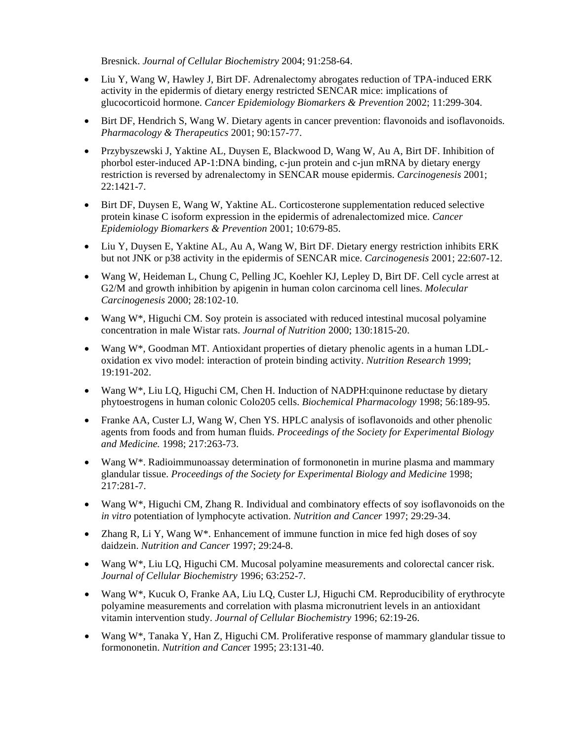Bresnick. *Journal of Cellular Biochemistry* 2004; 91:258-64.

- Liu Y, Wang W, Hawley J, Birt DF. Adrenalectomy abrogates reduction of TPA-induced ERK activity in the epidermis of dietary energy restricted SENCAR mice: implications of glucocorticoid hormone. *Cancer Epidemiology Biomarkers & Prevention* 2002; 11:299-304.
- Birt DF, Hendrich S, Wang W. Dietary agents in cancer prevention: flavonoids and isoflavonoids. *Pharmacology & Therapeutics* 2001; 90:157-77.
- Przybyszewski J, Yaktine AL, Duysen E, Blackwood D, Wang W, Au A, Birt DF. Inhibition of phorbol ester-induced AP-1:DNA binding, c-jun protein and c-jun mRNA by dietary energy restriction is reversed by adrenalectomy in SENCAR mouse epidermis. *Carcinogenesis* 2001; 22:1421-7.
- Birt DF, Duysen E, Wang W, Yaktine AL. Corticosterone supplementation reduced selective protein kinase C isoform expression in the epidermis of adrenalectomized mice. *Cancer Epidemiology Biomarkers & Prevention* 2001; 10:679-85.
- Liu Y, Duysen E, Yaktine AL, Au A, Wang W, Birt DF. Dietary energy restriction inhibits ERK but not JNK or p38 activity in the epidermis of SENCAR mice. *Carcinogenesis* 2001; 22:607-12.
- Wang W, Heideman L, Chung C, Pelling JC, Koehler KJ, Lepley D, Birt DF. Cell cycle arrest at G2/M and growth inhibition by apigenin in human colon carcinoma cell lines. *Molecular Carcinogenesis* 2000; 28:102-10.
- Wang W<sup>\*</sup>, Higuchi CM. Soy protein is associated with reduced intestinal mucosal polyamine concentration in male Wistar rats. *Journal of Nutrition* 2000; 130:1815-20.
- Wang W\*, Goodman MT. Antioxidant properties of dietary phenolic agents in a human LDLoxidation ex vivo model: interaction of protein binding activity. *Nutrition Research* 1999; 19:191-202.
- Wang  $W^*$ , Liu LQ, Higuchi CM, Chen H. Induction of NADPH: quinone reductase by dietary phytoestrogens in human colonic Colo205 cells. *Biochemical Pharmacology* 1998; 56:189-95.
- Franke AA, Custer LJ, Wang W, Chen YS. HPLC analysis of isoflavonoids and other phenolic agents from foods and from human fluids. *Proceedings of the Society for Experimental Biology and Medicine.* 1998; 217:263-73.
- Wang W\*. Radioimmunoassay determination of formononetin in murine plasma and mammary glandular tissue. *Proceedings of the Society for Experimental Biology and Medicine* 1998; 217:281-7.
- Wang W\*, Higuchi CM, Zhang R. Individual and combinatory effects of soy isoflavonoids on the *in vitro* potentiation of lymphocyte activation. *Nutrition and Cancer* 1997; 29:29-34.
- Zhang R, Li Y, Wang W\*. Enhancement of immune function in mice fed high doses of soy daidzein. *Nutrition and Cancer* 1997; 29:24-8.
- Wang W\*, Liu LQ, Higuchi CM. Mucosal polyamine measurements and colorectal cancer risk. *Journal of Cellular Biochemistry* 1996; 63:252-7.
- Wang W\*, Kucuk O, Franke AA, Liu LQ, Custer LJ, Higuchi CM. Reproducibility of erythrocyte polyamine measurements and correlation with plasma micronutrient levels in an antioxidant vitamin intervention study. *Journal of Cellular Biochemistry* 1996; 62:19-26.
- Wang W<sup>\*</sup>, Tanaka Y, Han Z, Higuchi CM. Proliferative response of mammary glandular tissue to formononetin. *Nutrition and Cance*r 1995; 23:131-40.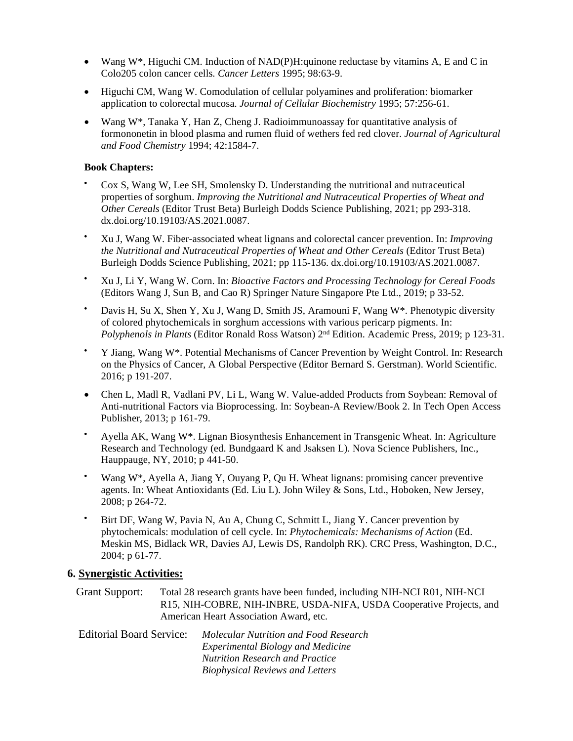- Wang  $W^*$ , Higuchi CM. Induction of NAD(P)H:quinone reductase by vitamins A, E and C in Colo205 colon cancer cells. *Cancer Letters* 1995; 98:63-9.
- Higuchi CM, Wang W. Comodulation of cellular polyamines and proliferation: biomarker application to colorectal mucosa. *Journal of Cellular Biochemistry* 1995; 57:256-61.
- Wang W\*, Tanaka Y, Han Z, Cheng J. Radioimmunoassay for quantitative analysis of formononetin in blood plasma and rumen fluid of wethers fed red clover. *Journal of Agricultural and Food Chemistry* 1994; 42:1584-7.

#### **Book Chapters:**

- Cox S, Wang W, Lee SH, Smolensky D. Understanding the nutritional and nutraceutical properties of sorghum. *Improving the Nutritional and Nutraceutical Properties of Wheat and Other Cereals* (Editor Trust Beta) Burleigh Dodds Science Publishing, 2021; pp 293-318. dx.doi.org/10.19103/AS.2021.0087.
- Xu J, Wang W. Fiber-associated wheat lignans and colorectal cancer prevention. In: *Improving the Nutritional and Nutraceutical Properties of Wheat and Other Cereals* (Editor Trust Beta) Burleigh Dodds Science Publishing, 2021; pp 115-136. dx.doi.org/10.19103/AS.2021.0087.
- Xu J, Li Y, Wang W. Corn. In: *Bioactive Factors and Processing Technology for Cereal Foods* (Editors Wang J, Sun B, and Cao R) Springer Nature Singapore Pte Ltd., 2019; p 33-52.
- Davis H, Su X, Shen Y, Xu J, Wang D, Smith JS, Aramouni F, Wang W\*. Phenotypic diversity of colored phytochemicals in sorghum accessions with various pericarp pigments. In: *Polyphenols in Plants* (Editor Ronald Ross Watson) 2nd Edition. Academic Press, 2019; p 123-31.
- Y Jiang, Wang W\*. Potential Mechanisms of Cancer Prevention by Weight Control. In: Research on the Physics of Cancer, A Global Perspective (Editor Bernard S. Gerstman). World Scientific. 2016; p 191-207.
- Chen L, Madl R, Vadlani PV, Li L, Wang W. Value-added Products from Soybean: Removal of Anti-nutritional Factors via Bioprocessing. In: Soybean-A Review/Book 2. In Tech Open Access Publisher, 2013; p 161-79.
- Ayella AK, Wang W\*. Lignan Biosynthesis Enhancement in Transgenic Wheat. In: Agriculture Research and Technology (ed. Bundgaard K and Jsaksen L). Nova Science Publishers, Inc., Hauppauge, NY, 2010; p 441-50.
- Wang W\*, Ayella A, Jiang Y, Ouyang P, Qu H. Wheat lignans: promising cancer preventive agents. In: Wheat Antioxidants (Ed. Liu L). John Wiley & Sons, Ltd., Hoboken, New Jersey, 2008; p 264-72.
- Birt DF, Wang W, Pavia N, Au A, Chung C, Schmitt L, Jiang Y. Cancer prevention by phytochemicals: modulation of cell cycle. In: *Phytochemicals: Mechanisms of Action* (Ed. Meskin MS, Bidlack WR, Davies AJ, Lewis DS, Randolph RK). CRC Press, Washington, D.C., 2004; p 61-77.

#### **6. Synergistic Activities:**

Grant Support: Total 28 research grants have been funded, including NIH-NCI R01, NIH-NCI R15, NIH-COBRE, NIH-INBRE, USDA-NIFA, USDA Cooperative Projects, and American Heart Association Award, etc.

| Editorial Board Service: | Molecular Nutrition and Food Research<br><b>Experimental Biology and Medicine</b><br><b>Nutrition Research and Practice</b> |
|--------------------------|-----------------------------------------------------------------------------------------------------------------------------|
|                          |                                                                                                                             |
|                          |                                                                                                                             |
|                          | <b>Biophysical Reviews and Letters</b>                                                                                      |